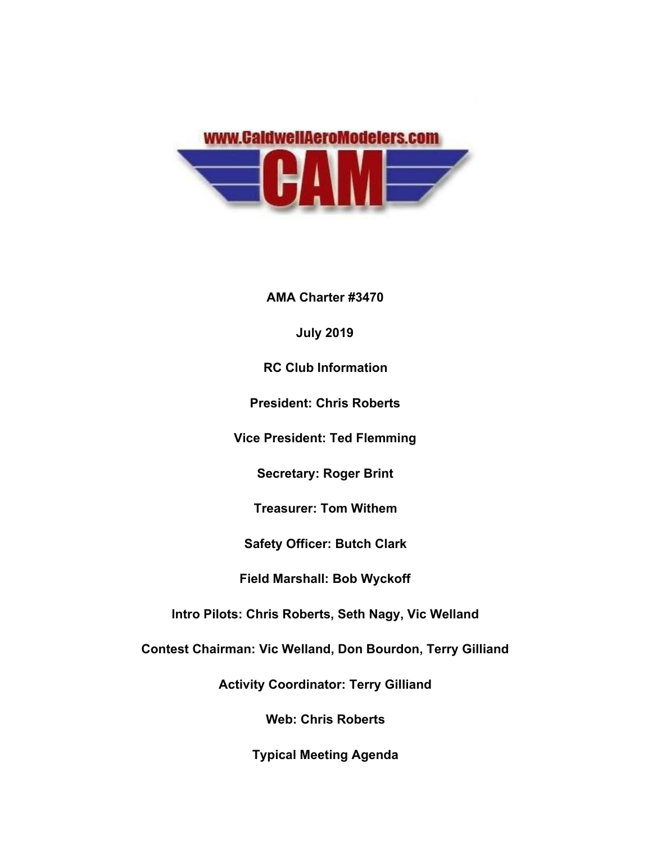

**AMA Charter #3470**

**July 2019**

**RC Club Information**

**President: Chris Roberts**

**Vice President: Ted Flemming**

**Secretary: Roger Brint**

**Treasurer: Tom Withem**

**Safety Officer: Butch Clark**

**Field Marshall: Bob Wyckoff**

**Intro Pilots: Chris Roberts, Seth Nagy, Vic Welland**

**Contest Chairman: Vic Welland, Don Bourdon, Terry Gilliand**

**Activity Coordinator: Terry Gilliand**

**Web: Chris Roberts**

**Typical Meeting Agenda**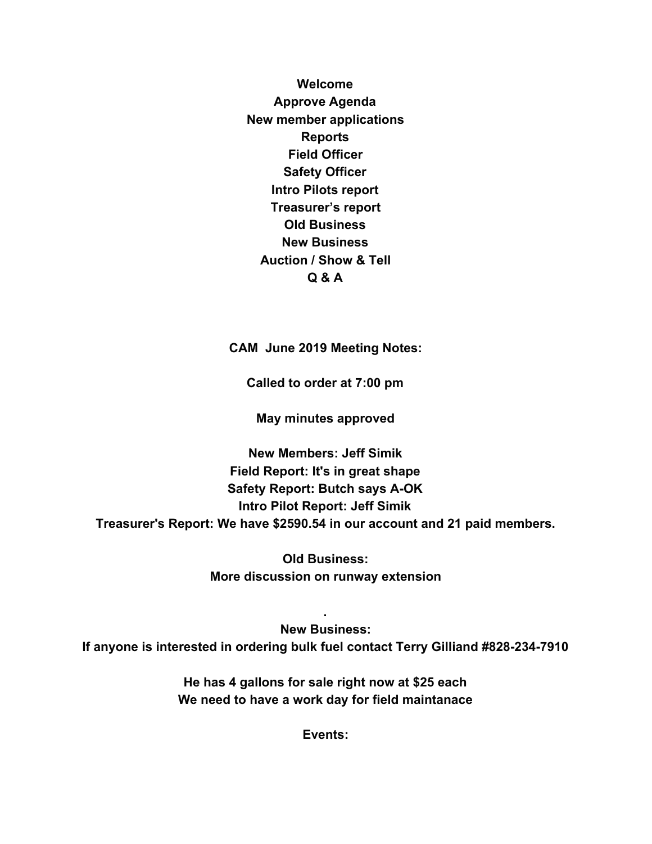**Welcome Approve Agenda New member applications Reports Field Officer Safety Officer Intro Pilots report Treasurer's report Old Business New Business Auction / Show & Tell Q & A**

**CAM June 2019 Meeting Notes:**

**Called to order at 7:00 pm**

**May minutes approved**

**New Members: Jeff Simik Field Report: It's in great shape Safety Report: Butch says A-OK Intro Pilot Report: Jeff Simik Treasurer's Report: We have \$2590.54 in our account and 21 paid members.**

> **Old Business: More discussion on runway extension**

**New Business:**

**If anyone is interested in ordering bulk fuel contact Terry Gilliand #828-234-7910**

**.**

**He has 4 gallons for sale right now at \$25 each We need to have a work day for field maintanace**

**Events:**